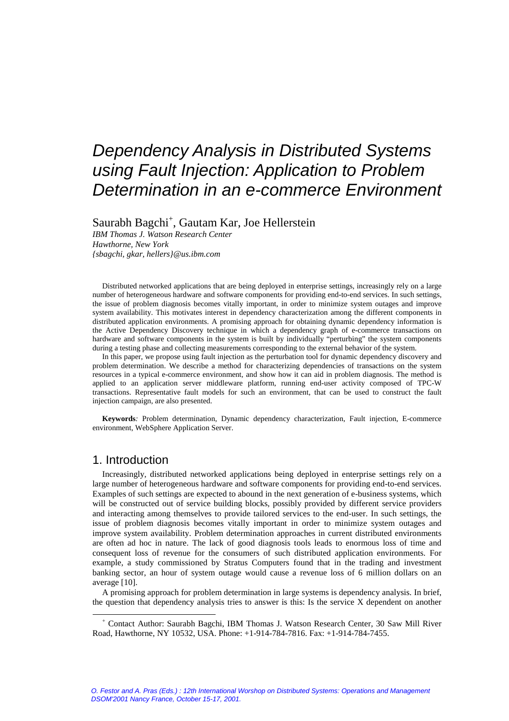# Dependency Analysis in Distributed Systems using Fault Injection: Application to Problem Determination in an e-commerce Environment

Saurabh Bagchi + , Gautam Kar, Joe Hellerstein

*IBM Thomas J. Watson Research Center Hawthorne, New York {sbagchi, gkar, hellers}@us.ibm.com*

Distributed networked applications that are being deployed in enterprise settings, increasingly rely on a large number of heterogeneous hardware and software components for providing end-to-end services. In such settings, the issue of problem diagnosis becomes vitally important, in order to minimize system outages and improve system availability. This motivates interest in dependency characterization among the different components in distributed application environments. A promising approach for obtaining dynamic dependency information is the Active Dependency Discovery technique in which a dependency graph of e-commerce transactions on hardware and software components in the system is built by individually "perturbing" the system components during a testing phase and collecting measurements corresponding to the external behavior of the system.

In this paper, we propose using fault injection as the perturbation tool for dynamic dependency discovery and problem determination. We describe a method for characterizing dependencies of transactions on the system resources in a typical e-commerce environment, and show how it can aid in problem diagnosis. The method is applied to an application server middleware platform, running end-user activity composed of TPC-W transactions. Representative fault models for such an environment, that can be used to construct the fault injection campaign, are also presented.

**Keywords***:* Problem determination, Dynamic dependency characterization, Fault injection, E-commerce environment, WebSphere Application Server. 

# 1. Introduction

Increasingly, distributed networked applications being deployed in enterprise settings rely on a large number of heterogeneous hardware and software components for providing end-to-end services. Examples of such settings are expected to abound in the next generation of e-business systems, which will be constructed out of service building blocks, possibly provided by different service providers and interacting among themselves to provide tailored services to the end-user. In such settings, the issue of problem diagnosis becomes vitally important in order to minimize system outages and improve system availability. Problem determination approaches in current distributed environments are often ad hoc in nature. The lack of good diagnosis tools leads to enormous loss of time and consequent loss of revenue for the consumers of such distributed application environments. For example, a study commissioned by Stratus Computers found that in the trading and investment banking sector, an hour of system outage would cause a revenue loss of 6 million dollars on an average [10].

A promising approach for problem determination in large systems is dependency analysis. In brief, the question that dependency analysis tries to answer is this: Is the service X dependent on another

<sup>+</sup> Contact Author: Saurabh Bagchi, IBM Thomas J. Watson Research Center, 30 Saw Mill River Road, Hawthorne, NY 10532, USA. Phone: +1-914-784-7816. Fax: +1-914-784-7455.

O. Festor and A. Pras (Eds.) : 12th International Worshop on Distributed Systems: Operations and Management DSOM'2001 Nancy France, October 15-17, 2001.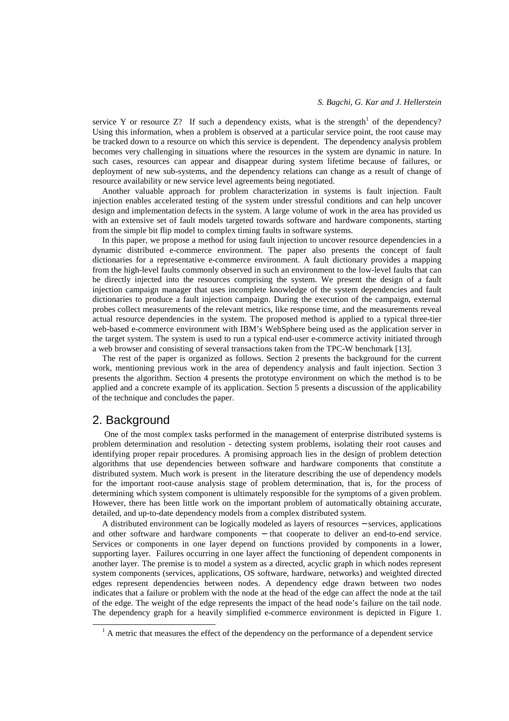service Y or resource Z? If such a dependency exists, what is the strength<sup>1</sup> of the dependency? Using this information, when a problem is observed at a particular service point, the root cause may be tracked down to a resource on which this service is dependent. The dependency analysis problem becomes very challenging in situations where the resources in the system are dynamic in nature. In such cases, resources can appear and disappear during system lifetime because of failures, or deployment of new sub-systems, and the dependency relations can change as a result of change of resource availability or new service level agreements being negotiated.

Another valuable approach for problem characterization in systems is fault injection. Fault injection enables accelerated testing of the system under stressful conditions and can help uncover design and implementation defects in the system. A large volume of work in the area has provided us with an extensive set of fault models targeted towards software and hardware components, starting from the simple bit flip model to complex timing faults in software systems.

In this paper, we propose a method for using fault injection to uncover resource dependencies in a dynamic distributed e-commerce environment. The paper also presents the concept of fault dictionaries for a representative e-commerce environment. A fault dictionary provides a mapping from the high-level faults commonly observed in such an environment to the low-level faults that can be directly injected into the resources comprising the system. We present the design of a fault injection campaign manager that uses incomplete knowledge of the system dependencies and fault dictionaries to produce a fault injection campaign. During the execution of the campaign, external probes collect measurements of the relevant metrics, like response time, and the measurements reveal actual resource dependencies in the system. The proposed method is applied to a typical three-tier web-based e-commerce environment with IBM's WebSphere being used as the application server in the target system. The system is used to run a typical end-user e-commerce activity initiated through a web browser and consisting of several transactions taken from the TPC-W benchmark [13].

The rest of the paper is organized as follows. Section 2 presents the background for the current work, mentioning previous work in the area of dependency analysis and fault injection. Section 3 presents the algorithm. Section 4 presents the prototype environment on which the method is to be applied and a concrete example of its application. Section 5 presents a discussion of the applicability of the technique and concludes the paper.

## 2. Background

One of the most complex tasks performed in the management of enterprise distributed systems is problem determination and resolution - detecting system problems, isolating their root causes and identifying proper repair procedures. A promising approach lies in the design of problem detection algorithms that use dependencies between software and hardware components that constitute a distributed system. Much work is present in the literature describing the use of dependency models for the important root-cause analysis stage of problem determination, that is, for the process of determining which system component is ultimately responsible for the symptoms of a given problem. However, there has been little work on the important problem of automatically obtaining accurate, detailed, and up-to-date dependency models from a complex distributed system.

A distributed environment can be logically modeled as layers of resources − services, applications and other software and hardware components − that cooperate to deliver an end-to-end service. Services or components in one layer depend on functions provided by components in a lower, supporting layer. Failures occurring in one layer affect the functioning of dependent components in another layer. The premise is to model a system as a directed, acyclic graph in which nodes represent system components (services, applications, OS software, hardware, networks) and weighted directed edges represent dependencies between nodes. A dependency edge drawn between two nodes indicates that a failure or problem with the node at the head of the edge can affect the node at the tail of the edge. The weight of the edge represents the impact of the head node's failure on the tail node. The dependency graph for a heavily simplified e-commerce environment is depicted in Figure 1.

<sup>&</sup>lt;sup>1</sup> A metric that measures the effect of the dependency on the performance of a dependent service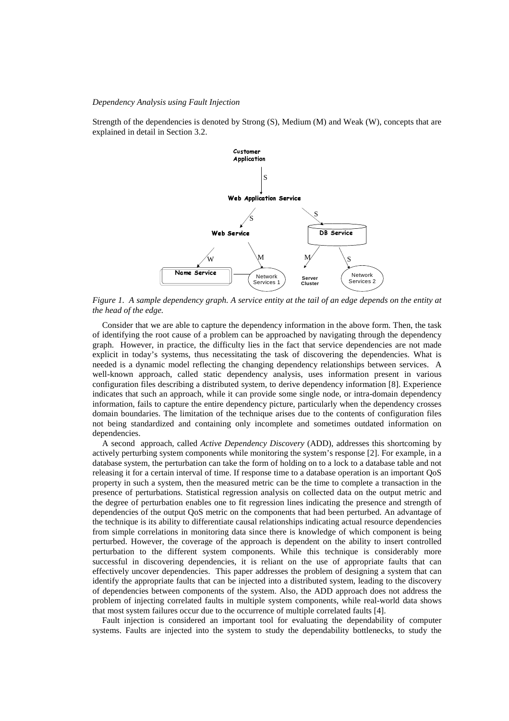Strength of the dependencies is denoted by Strong (S), Medium (M) and Weak (W), concepts that are explained in detail in Section 3.2.



Figure 1. A sample dependency graph. A service entity at the tail of an edge depends on the entity at *the head of the edge.*

Consider that we are able to capture the dependency information in the above form. Then, the task of identifying the root cause of a problem can be approached by navigating through the dependency graph. However, in practice, the difficulty lies in the fact that service dependencies are not made explicit in today's systems, thus necessitating the task of discovering the dependencies. What is needed is a dynamic model reflecting the changing dependency relationships between services. A well-known approach, called static dependency analysis, uses information present in various configuration files describing a distributed system, to derive dependency information [8]. Experience indicates that such an approach, while it can provide some single node, or intra-domain dependency information, fails to capture the entire dependency picture, particularly when the dependency crosses domain boundaries. The limitation of the technique arises due to the contents of configuration files not being standardized and containing only incomplete and sometimes outdated information on dependencies.

A second approach, called *Active Dependency Discovery* (ADD), addresses this shortcoming by actively perturbing system components while monitoring the system's response [2]. For example, in a database system, the perturbation can take the form of holding on to a lock to a database table and not releasing it for a certain interval of time. If response time to a database operation is an important QoS property in such a system, then the measured metric can be the time to complete a transaction in the presence of perturbations. Statistical regression analysis on collected data on the output metric and the degree of perturbation enables one to fit regression lines indicating the presence and strength of dependencies of the output QoS metric on the components that had been perturbed. An advantage of the technique is its ability to differentiate causal relationships indicating actual resource dependencies from simple correlations in monitoring data since there is knowledge of which component is being perturbed. However, the coverage of the approach is dependent on the ability to insert controlled perturbation to the different system components. While this technique is considerably more successful in discovering dependencies, it is reliant on the use of appropriate faults that can effectively uncover dependencies. This paper addresses the problem of designing a system that can identify the appropriate faults that can be injected into a distributed system, leading to the discovery of dependencies between components of the system. Also, the ADD approach does not address the problem of injecting correlated faults in multiple system components, while real-world data shows that most system failures occur due to the occurrence of multiple correlated faults [4].

Fault injection is considered an important tool for evaluating the dependability of computer systems. Faults are injected into the system to study the dependability bottlenecks, to study the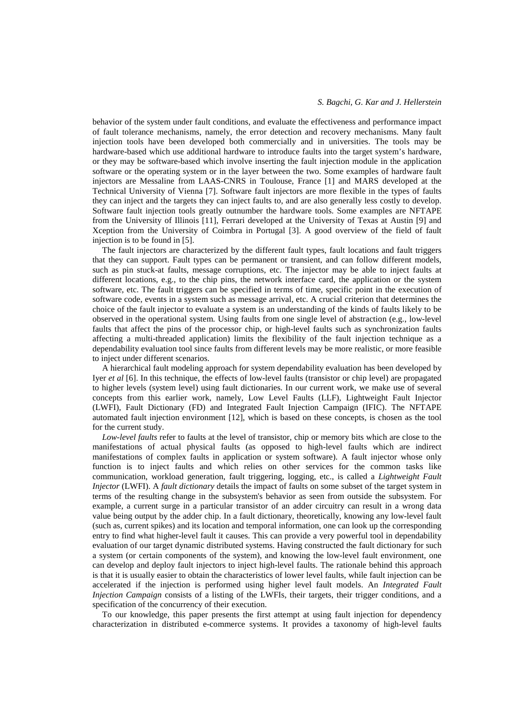behavior of the system under fault conditions, and evaluate the effectiveness and performance impact of fault tolerance mechanisms, namely, the error detection and recovery mechanisms. Many fault injection tools have been developed both commercially and in universities. The tools may be hardware-based which use additional hardware to introduce faults into the target system's hardware, or they may be software-based which involve inserting the fault injection module in the application software or the operating system or in the layer between the two. Some examples of hardware fault injectors are Messaline from LAAS-CNRS in Toulouse, France [1] and MARS developed at the Technical University of Vienna [7]. Software fault injectors are more flexible in the types of faults they can inject and the targets they can inject faults to, and are also generally less costly to develop. Software fault injection tools greatly outnumber the hardware tools. Some examples are NFTAPE from the University of Illinois [11], Ferrari developed at the University of Texas at Austin [9] and Xception from the University of Coimbra in Portugal [3]. A good overview of the field of fault injection is to be found in [5].

The fault injectors are characterized by the different fault types, fault locations and fault triggers that they can support. Fault types can be permanent or transient, and can follow different models, such as pin stuck-at faults, message corruptions, etc. The injector may be able to inject faults at different locations, e.g., to the chip pins, the network interface card, the application or the system software, etc. The fault triggers can be specified in terms of time, specific point in the execution of software code, events in a system such as message arrival, etc. A crucial criterion that determines the choice of the fault injector to evaluate a system is an understanding of the kinds of faults likely to be observed in the operational system. Using faults from one single level of abstraction (e.g., low-level faults that affect the pins of the processor chip, or high-level faults such as synchronization faults affecting a multi-threaded application) limits the flexibility of the fault injection technique as a dependability evaluation tool since faults from different levels may be more realistic, or more feasible to inject under different scenarios.

A hierarchical fault modeling approach for system dependability evaluation has been developed by Iyer *et al* [6]. In this technique, the effects of low-level faults (transistor or chip level) are propagated to higher levels (system level) using fault dictionaries. In our current work, we make use of several concepts from this earlier work, namely, Low Level Faults (LLF), Lightweight Fault Injector (LWFI), Fault Dictionary (FD) and Integrated Fault Injection Campaign (IFIC). The NFTAPE automated fault injection environment [12], which is based on these concepts, is chosen as the tool for the current study.

*Low-level faults* refer to faults at the level of transistor, chip or memory bits which are close to the manifestations of actual physical faults (as opposed to high-level faults which are indirect manifestations of complex faults in application or system software). A fault injector whose only function is to inject faults and which relies on other services for the common tasks like communication, workload generation, fault triggering, logging, etc., is called a *Lightweight Fault Injector* (LWFI). A *fault dictionary* details the impact of faults on some subset of the target system in terms of the resulting change in the subsystem's behavior as seen from outside the subsystem. For example, a current surge in a particular transistor of an adder circuitry can result in a wrong data value being output by the adder chip. In a fault dictionary, theoretically, knowing any low-level fault (such as, current spikes) and its location and temporal information, one can look up the corresponding entry to find what higher-level fault it causes. This can provide a very powerful tool in dependability evaluation of our target dynamic distributed systems. Having constructed the fault dictionary for such a system (or certain components of the system), and knowing the low-level fault environment, one can develop and deploy fault injectors to inject high-level faults. The rationale behind this approach is that it is usually easier to obtain the characteristics of lower level faults, while fault injection can be accelerated if the injection is performed using higher level fault models. An *Integrated Fault Injection Campaign* consists of a listing of the LWFIs, their targets, their trigger conditions, and a specification of the concurrency of their execution.

To our knowledge, this paper presents the first attempt at using fault injection for dependency characterization in distributed e-commerce systems. It provides a taxonomy of high-level faults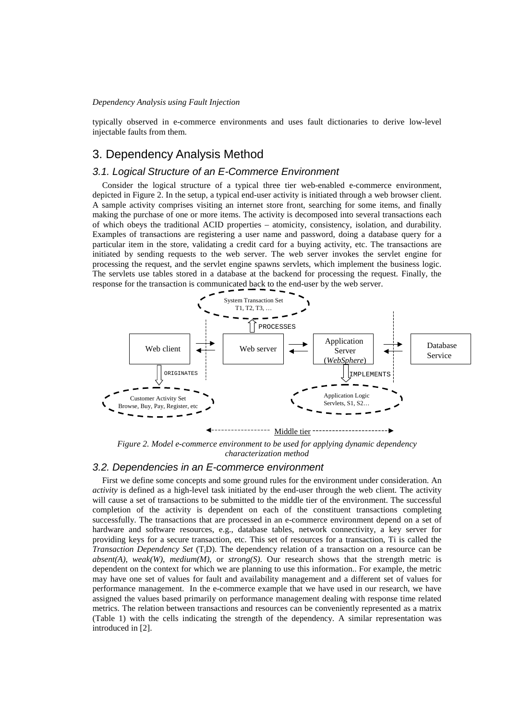typically observed in e-commerce environments and uses fault dictionaries to derive low-level injectable faults from them.

# 3. Dependency Analysis Method

### 3.1. Logical Structure of an E-Commerce Environment

Consider the logical structure of a typical three tier web-enabled e-commerce environment, depicted in Figure 2. In the setup, a typical end-user activity is initiated through a web browser client. A sample activity comprises visiting an internet store front, searching for some items, and finally making the purchase of one or more items. The activity is decomposed into several transactions each of which obeys the traditional ACID properties – atomicity, consistency, isolation, and durability. Examples of transactions are registering a user name and password, doing a database query for a particular item in the store, validating a credit card for a buying activity, etc. The transactions are initiated by sending requests to the web server. The web server invokes the servlet engine for processing the request, and the servlet engine spawns servlets, which implement the business logic. The servlets use tables stored in a database at the backend for processing the request. Finally, the response for the transaction is communicated back to the end-user by the web server.



*Figure 2. Model e-commerce environment to be used for applying dynamic dependency characterization method*

### 3.2. Dependencies in an E-commerce environment

First we define some concepts and some ground rules for the environment under consideration. An *activity* is defined as a high-level task initiated by the end-user through the web client. The activity will cause a set of transactions to be submitted to the middle tier of the environment. The successful completion of the activity is dependent on each of the constituent transactions completing successfully. The transactions that are processed in an e-commerce environment depend on a set of hardware and software resources, e.g., database tables, network connectivity, a key server for providing keys for a secure transaction, etc. This set of resources for a transaction, Ti is called the *Transaction Dependency Set* (TiD). The dependency relation of a transaction on a resource can be *absent(A)*, *weak(W)*, *medium(M)*, or *strong(S)*. Our research shows that the strength metric is dependent on the context for which we are planning to use this information.. For example, the metric may have one set of values for fault and availability management and a different set of values for performance management. In the e-commerce example that we have used in our research, we have assigned the values based primarily on performance management dealing with response time related metrics. The relation between transactions and resources can be conveniently represented as a matrix (Table 1) with the cells indicating the strength of the dependency. A similar representation was introduced in [2].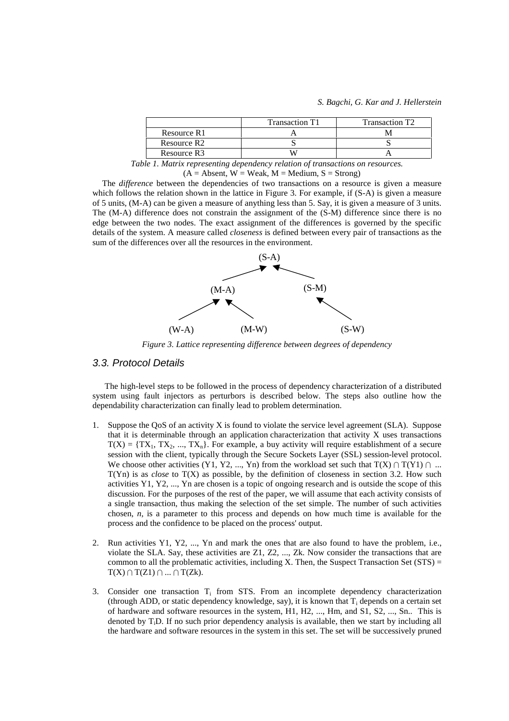|                         | <b>Transaction T1</b> | Transaction T <sub>2</sub> |  |
|-------------------------|-----------------------|----------------------------|--|
| Resource R1             |                       |                            |  |
| Resource R <sub>2</sub> |                       |                            |  |
| Resource R3             |                       |                            |  |

*Table 1. Matrix representing dependency relation of transactions on resources.*

 $(A = Absent, W = Weak, M = Medium, S = Strong)$ 

The *difference* between the dependencies of two transactions on a resource is given a measure which follows the relation shown in the lattice in Figure 3. For example, if (S-A) is given a measure of 5 units, (M-A) can be given a measure of anything less than 5. Say, it is given a measure of 3 units. The (M-A) difference does not constrain the assignment of the (S-M) difference since there is no edge between the two nodes. The exact assignment of the differences is governed by the specific details of the system. A measure called *closeness* is defined between every pair of transactions as the sum of the differences over all the resources in the environment.



*Figure 3. Lattice representing difference between degrees of dependency*

### 3.3. Protocol Details

The high-level steps to be followed in the process of dependency characterization of a distributed system using fault injectors as perturbors is described below. The steps also outline how the dependability characterization can finally lead to problem determination.

- 1. Suppose the QoS of an activity X is found to violate the service level agreement (SLA). Suppose that it is determinable through an application characterization that activity X uses transactions  $T(X) = \{TX_1, TX_2, ..., TX_n\}$ . For example, a buy activity will require establishment of a secure session with the client, typically through the Secure Sockets Layer (SSL) session-level protocol. We choose other activities (Y1, Y2, ..., Yn) from the workload set such that  $T(X) \cap T(Y1) \cap ...$ T(Yn) is as *close* to T(X) as possible, by the definition of closeness in section 3.2. How such activities Y1, Y2, ..., Yn are chosen is a topic of ongoing research and is outside the scope of this discussion. For the purposes of the rest of the paper, we will assume that each activity consists of a single transaction, thus making the selection of the set simple. The number of such activities chosen, *n*, is a parameter to this process and depends on how much time is available for the process and the confidence to be placed on the process' output.
- 2. Run activities Y1, Y2, ..., Yn and mark the ones that are also found to have the problem, i.e., violate the SLA. Say, these activities are Z1, Z2, ..., Zk. Now consider the transactions that are common to all the problematic activities, including X. Then, the Suspect Transaction Set  $(STS)$  =  $T(X) \cap T(Z1) \cap ... \cap T(Zk).$
- 3. Consider one transaction  $T_i$  from STS. From an incomplete dependency characterization (through ADD, or static dependency knowledge, say), it is known that  $T_i$  depends on a certain set of hardware and software resources in the system, H1, H2, ..., Hm, and S1, S2, ..., Sn.. This is denoted by TiD. If no such prior dependency analysis is available, then we start by including all the hardware and software resources in the system in this set. The set will be successively pruned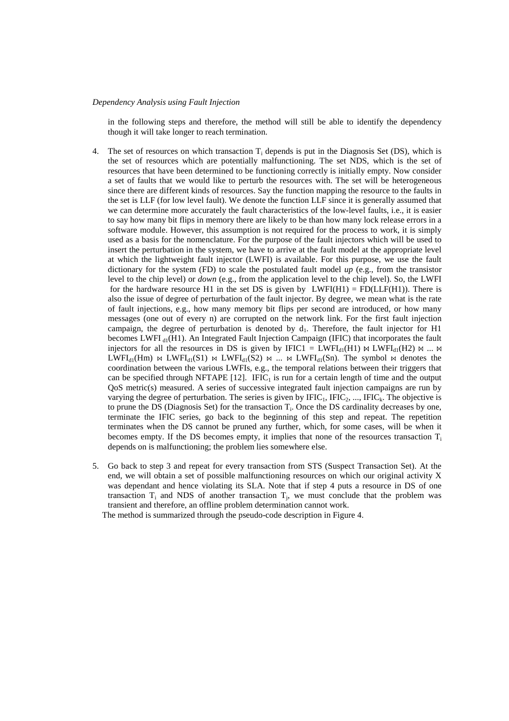in the following steps and therefore, the method will still be able to identify the dependency though it will take longer to reach termination.

- The set of resources on which transaction  $T_i$  depends is put in the Diagnosis Set (DS), which is the set of resources which are potentially malfunctioning. The set NDS, which is the set of resources that have been determined to be functioning correctly is initially empty. Now consider a set of faults that we would like to perturb the resources with. The set will be heterogeneous since there are different kinds of resources. Say the function mapping the resource to the faults in the set is LLF (for low level fault). We denote the function LLF since it is generally assumed that we can determine more accurately the fault characteristics of the low-level faults, i.e., it is easier to say how many bit flips in memory there are likely to be than how many lock release errors in a software module. However, this assumption is not required for the process to work, it is simply used as a basis for the nomenclature. For the purpose of the fault injectors which will be used to insert the perturbation in the system, we have to arrive at the fault model at the appropriate level at which the lightweight fault injector (LWFI) is available. For this purpose, we use the fault dictionary for the system (FD) to scale the postulated fault model *up* (e.g., from the transistor level to the chip level) or *down* (e.g., from the application level to the chip level). So, the LWFI for the hardware resource H1 in the set DS is given by  $LWFI(H1) = FD(LLF(H1))$ . There is also the issue of degree of perturbation of the fault injector. By degree, we mean what is the rate of fault injections, e.g., how many memory bit flips per second are introduced, or how many messages (one out of every n) are corrupted on the network link. For the first fault injection campaign, the degree of perturbation is denoted by  $d_1$ . Therefore, the fault injector for H1 becomes LWFI  $_{d1}(H1)$ . An Integrated Fault Injection Campaign (IFIC) that incorporates the fault injectors for all the resources in DS is given by IFIC1 =  $LWFI_{d1}(H1) \bowtie LWFI_{d1}(H2) \bowtie ... \bowtie$ LWFI<sub>d1</sub>(Hm)  $\bowtie$  LWFI<sub>d1</sub>(S1)  $\bowtie$  LWFI<sub>d1</sub>(S2)  $\bowtie$  ...  $\bowtie$  LWFI<sub>d1</sub>(Sn). The symbol  $\bowtie$  denotes the coordination between the various LWFIs, e.g., the temporal relations between their triggers that can be specified through NFTAPE [12]. IFIC<sub>1</sub> is run for a certain length of time and the output QoS metric(s) measured. A series of successive integrated fault injection campaigns are run by varying the degree of perturbation. The series is given by  $IFIC<sub>1</sub>$ ,  $IFIC<sub>2</sub>$ , ..., IFIC<sub>k</sub>. The objective is to prune the DS (Diagnosis Set) for the transaction  $T_i$ . Once the DS cardinality decreases by one, terminate the IFIC series, go back to the beginning of this step and repeat. The repetition terminates when the DS cannot be pruned any further, which, for some cases, will be when it becomes empty. If the DS becomes empty, it implies that none of the resources transaction  $T_i$ depends on is malfunctioning; the problem lies somewhere else.
- 5. Go back to step 3 and repeat for every transaction from STS (Suspect Transaction Set). At the end, we will obtain a set of possible malfunctioning resources on which our original activity X was dependant and hence violating its SLA. Note that if step 4 puts a resource in DS of one transaction  $T_i$  and NDS of another transaction  $T_j$ , we must conclude that the problem was transient and therefore, an offline problem determination cannot work.

The method is summarized through the pseudo-code description in Figure 4.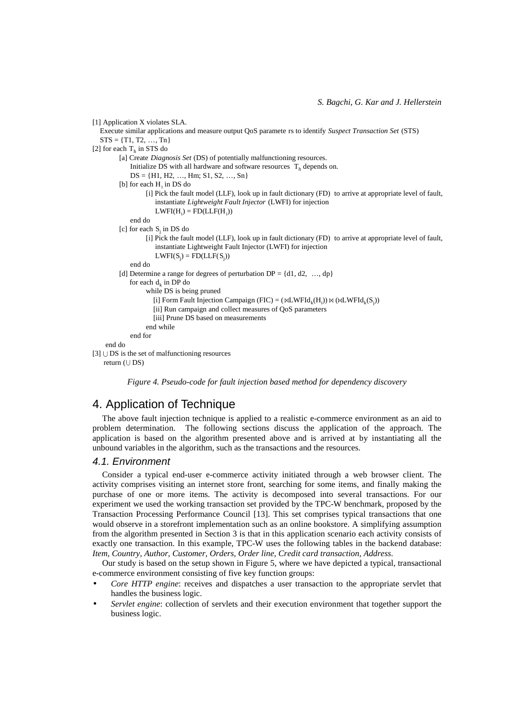```
[1] Application X violates SLA.
  Execute similar applications and measure output QoS paramete rs to identify Suspect Transaction Set (STS)
  STS = \{T1, T2, ..., Tn\}[2] for each T<sub>h</sub> in STS do
         [a] Create Diagnosis Set (DS) of potentially malfunctioning resources.
             Initialize DS with all hardware and software resources T<sub>h</sub> depends on.
             DS = \{H1, H2, \ldots, Hm; S1, S2, \ldots, Sn\}[b] for each H_i in DS do
                   [i] Pick the fault model (LLF), look up in fault dictionary (FD) to arrive at appropriate level of fault,
                      instantiate Lightweight Fault Injector (LWFI) for injection
                      LWFI(H_i) = FD(LLF(H_i))end do
         [c] for each S_i in DS do
                   [i] Pick the fault model (LLF), look up in fault dictionary (FD) to arrive at appropriate level of fault,
                      instantiate Lightweight Fault Injector (LWFI) for injection
                      LWFI(S_j) = FD(LLF(S_j))end do
         [d] Determine a range for degrees of perturbation DP = \{d1, d2, ..., dp\}for each d_k in DP do
                   while DS is being pruned
                      [i] Form Fault Injection Campaign (FIC) = (\aleph LWFId_k(H_i)) \bowtie (\aleph LWFId_k(S_j))[ii] Run campaign and collect measures of QoS parameters
                     [iii] Prune DS based on measurements
                   end while
             end for
    end do
[3] \cup DS is the set of malfunctioning resources
    return (UDS)
```
*Figure 4. Pseudo-code for fault injection based method for dependency discovery*

# 4. Application of Technique

The above fault injection technique is applied to a realistic e-commerce environment as an aid to problem determination. The following sections discuss the application of the approach. The application is based on the algorithm presented above and is arrived at by instantiating all the unbound variables in the algorithm, such as the transactions and the resources.

### 4.1. Environment

Consider a typical end-user e-commerce activity initiated through a web browser client. The activity comprises visiting an internet store front, searching for some items, and finally making the purchase of one or more items. The activity is decomposed into several transactions. For our experiment we used the working transaction set provided by the TPC-W benchmark, proposed by the Transaction Processing Performance Council [13]. This set comprises typical transactions that one would observe in a storefront implementation such as an online bookstore. A simplifying assumption from the algorithm presented in Section 3 is that in this application scenario each activity consists of exactly one transaction. In this example, TPC-W uses the following tables in the backend database: *Item, Country, Author, Customer, Orders, Order line, Credit card transaction, Address*.

Our study is based on the setup shown in Figure 5, where we have depicted a typical, transactional e-commerce environment consisting of five key function groups:

- *Core HTTP engine*: receives and dispatches a user transaction to the appropriate servlet that handles the business logic.
- *Servlet engine*: collection of servlets and their execution environment that together support the business logic.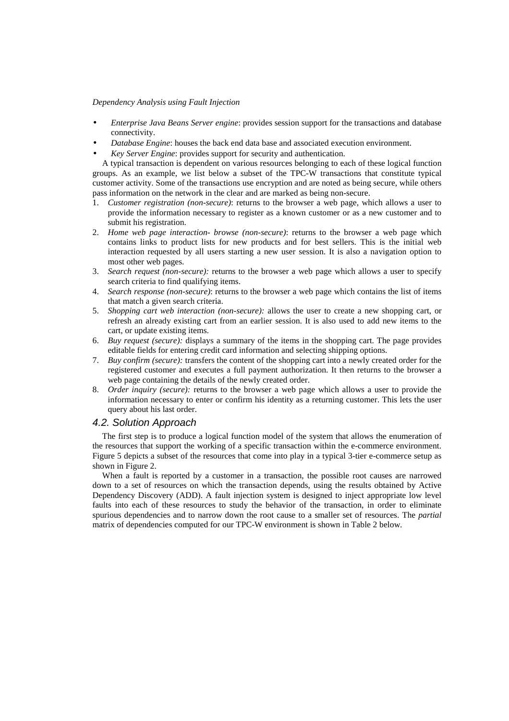- *Enterprise Java Beans Server engine*: provides session support for the transactions and database connectivity.
- *Database Engine*: houses the back end data base and associated execution environment.
- *Key Server Engine*: provides support for security and authentication.

A typical transaction is dependent on various resources belonging to each of these logical function groups. As an example, we list below a subset of the TPC-W transactions that constitute typical customer activity. Some of the transactions use encryption and are noted as being secure, while others pass information on the network in the clear and are marked as being non-secure.

- 1. *Customer registration (non-secure)*: returns to the browser a web page, which allows a user to provide the information necessary to register as a known customer or as a new customer and to submit his registration.
- 2. *Home web page interaction- browse (non-secure)*: returns to the browser a web page which contains links to product lists for new products and for best sellers. This is the initial web interaction requested by all users starting a new user session. It is also a navigation option to most other web pages.
- 3. *Search request (non-secure):* returns to the browser a web page which allows a user to specify search criteria to find qualifying items.
- 4. *Search response (non-secure)*: returns to the browser a web page which contains the list of items that match a given search criteria.
- 5. *Shopping cart web interaction (non-secure):* allows the user to create a new shopping cart, or refresh an already existing cart from an earlier session. It is also used to add new items to the cart, or update existing items.
- 6. *Buy request (secure):* displays a summary of the items in the shopping cart. The page provides editable fields for entering credit card information and selecting shipping options.
- 7. *Buy confirm (secure):* transfers the content of the shopping cart into a newly created order for the registered customer and executes a full payment authorization. It then returns to the browser a web page containing the details of the newly created order.
- 8. *Order inquiry (secure):* returns to the browser a web page which allows a user to provide the information necessary to enter or confirm his identity as a returning customer. This lets the user query about his last order.

### 4.2. Solution Approach

The first step is to produce a logical function model of the system that allows the enumeration of the resources that support the working of a specific transaction within the e-commerce environment. Figure 5 depicts a subset of the resources that come into play in a typical 3-tier e-commerce setup as shown in Figure 2.

When a fault is reported by a customer in a transaction, the possible root causes are narrowed down to a set of resources on which the transaction depends, using the results obtained by Active Dependency Discovery (ADD). A fault injection system is designed to inject appropriate low level faults into each of these resources to study the behavior of the transaction, in order to eliminate spurious dependencies and to narrow down the root cause to a smaller set of resources. The *partial* matrix of dependencies computed for our TPC-W environment is shown in Table 2 below.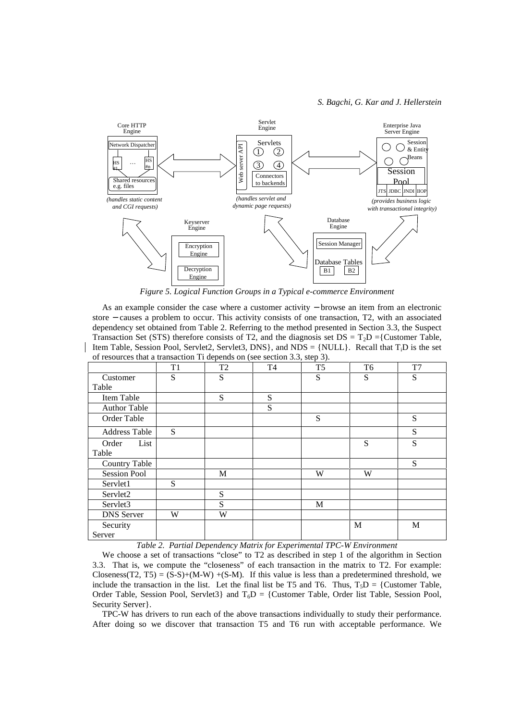

*Figure 5. Logical Function Groups in a Typical e-commerce Environment*

As an example consider the case where a customer activity − browse an item from an electronic store − causes a problem to occur. This activity consists of one transaction, T2, with an associated dependency set obtained from Table 2. Referring to the method presented in Section 3.3, the Suspect Transaction Set (STS) therefore consists of T2, and the diagnosis set  $DS = T<sub>2</sub>D =$ {Customer Table, Item Table, Session Pool, Servlet2, Servlet3, DNS}, and  $NDS = \{NULL\}$ . Recall that  $T_iD$  is the set of resources that a transaction Ti depends on (see section 3.3, step 3).

|                      | T1 | T <sub>2</sub> | T <sub>4</sub> | T <sub>5</sub> | T <sub>6</sub> | T7 |
|----------------------|----|----------------|----------------|----------------|----------------|----|
| Customer             | S  | S              |                | S              | S              | S  |
| Table                |    |                |                |                |                |    |
| Item Table           |    | S              | S              |                |                |    |
| <b>Author Table</b>  |    |                | S              |                |                |    |
| Order Table          |    |                |                | S              |                | S  |
| <b>Address Table</b> | S  |                |                |                |                | S  |
| Order<br>List        |    |                |                |                | S              | S  |
| Table                |    |                |                |                |                |    |
| Country Table        |    |                |                |                |                | S  |
| <b>Session Pool</b>  |    | M              |                | W              | W              |    |
| Servlet1             | S  |                |                |                |                |    |
| Servlet2             |    | S              |                |                |                |    |
| Servlet3             |    | S              |                | M              |                |    |
| <b>DNS</b> Server    | W  | W              |                |                |                |    |
| Security             |    |                |                |                | M              | M  |
| Server               |    |                |                |                |                |    |

*Table 2. Partial Dependency Matrix for Experimental TPC-W Environment*

We choose a set of transactions "close" to T2 as described in step 1 of the algorithm in Section 3.3. That is, we compute the "closeness" of each transaction in the matrix to T2. For example: Closeness(T2, T5) =  $(S-S)+(M-W)+(S-M)$ . If this value is less than a predetermined threshold, we include the transaction in the list. Let the final list be T5 and T6. Thus,  $T_5D = \{$ Customer Table, Order Table, Session Pool, Servlet3} and  $T_6D =$  {Customer Table, Order list Table, Session Pool, Security Server}.

TPC-W has drivers to run each of the above transactions individually to study their performance. After doing so we discover that transaction T5 and T6 run with acceptable performance. We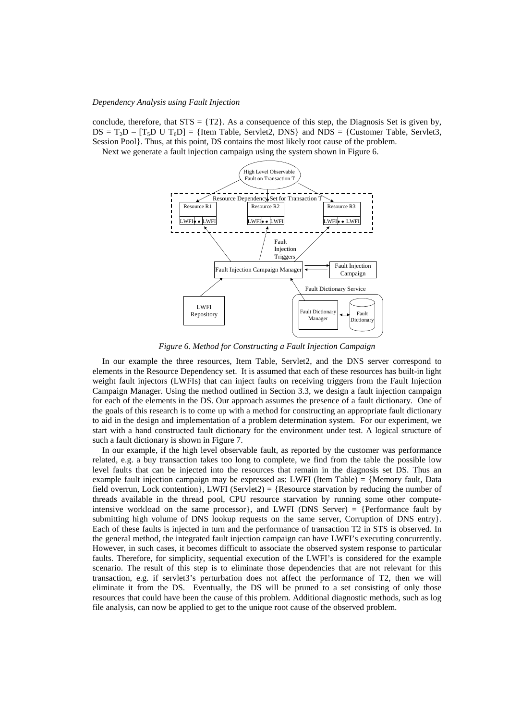conclude, therefore, that  $STS = \{T2\}$ . As a consequence of this step, the Diagnosis Set is given by,  $DS = T_2D - [T_3D U T_6D] = {Item Table, Servlet2, DNS}$  and  $NDS = {Customer Table, Servlet3,$ Session Pool}. Thus, at this point, DS contains the most likely root cause of the problem.

Next we generate a fault injection campaign using the system shown in Figure 6.



*Figure 6. Method for Constructing a Fault Injection Campaign*

In our example the three resources, Item Table, Servlet2, and the DNS server correspond to elements in the Resource Dependency set. It is assumed that each of these resources has built-in light weight fault injectors (LWFIs) that can inject faults on receiving triggers from the Fault Injection Campaign Manager. Using the method outlined in Section 3.3, we design a fault injection campaign for each of the elements in the DS. Our approach assumes the presence of a fault dictionary. One of the goals of this research is to come up with a method for constructing an appropriate fault dictionary to aid in the design and implementation of a problem determination system. For our experiment, we start with a hand constructed fault dictionary for the environment under test. A logical structure of such a fault dictionary is shown in Figure 7.

In our example, if the high level observable fault, as reported by the customer was performance related, e.g. a buy transaction takes too long to complete, we find from the table the possible low level faults that can be injected into the resources that remain in the diagnosis set DS. Thus an example fault injection campaign may be expressed as: LWFI (Item Table) = {Memory fault, Data field overrun, Lock contention}, LWFI (Servlet2) = {Resource starvation by reducing the number of threads available in the thread pool, CPU resource starvation by running some other computeintensive workload on the same processor $\}$ , and LWFI (DNS Server) = {Performance fault by submitting high volume of DNS lookup requests on the same server, Corruption of DNS entry}. Each of these faults is injected in turn and the performance of transaction T2 in STS is observed. In the general method, the integrated fault injection campaign can have LWFI's executing concurrently. However, in such cases, it becomes difficult to associate the observed system response to particular faults. Therefore, for simplicity, sequential execution of the LWFI's is considered for the example scenario. The result of this step is to eliminate those dependencies that are not relevant for this transaction, e.g. if servlet3's perturbation does not affect the performance of T2, then we will eliminate it from the DS. Eventually, the DS will be pruned to a set consisting of only those resources that could have been the cause of this problem. Additional diagnostic methods, such as log file analysis, can now be applied to get to the unique root cause of the observed problem.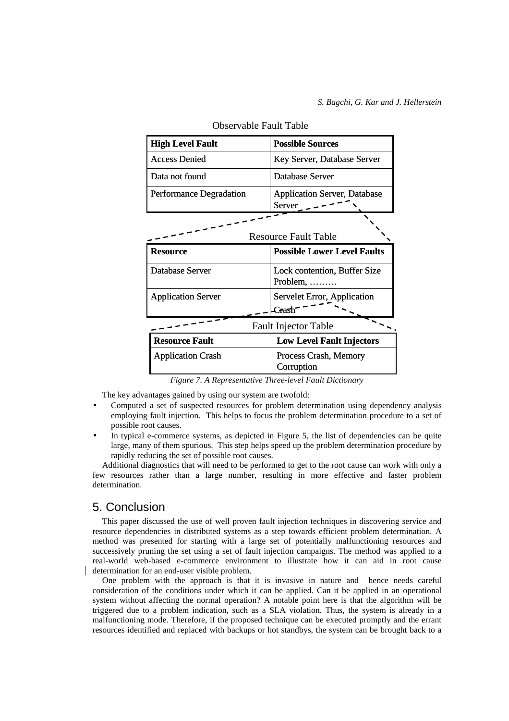| <b>High Level Fault</b>     | <b>Possible Sources</b>                       |  |  |  |
|-----------------------------|-----------------------------------------------|--|--|--|
| <b>Access Denied</b>        | Key Server, Database Server                   |  |  |  |
| Data not found              | Database Server                               |  |  |  |
| Performance Degradation     | <b>Application Server, Database</b><br>Server |  |  |  |
| <b>Resource Fault Table</b> |                                               |  |  |  |
| <b>Resource</b>             | <b>Possible Lower Level Faults</b>            |  |  |  |
| Database Server             | Lock contention, Buffer Size<br>Problem,      |  |  |  |
| <b>Application Server</b>   | Servelet Error, Application<br>Crash          |  |  |  |
| <b>Fault Injector Table</b> |                                               |  |  |  |
| <b>Resource Fault</b>       | <b>Low Level Fault Injectors</b>              |  |  |  |
| <b>Application Crash</b>    | Process Crash, Memory<br>Corruption           |  |  |  |

Observable Fault Table

*Figure 7. A Representative Three-level Fault Dictionary*

The key advantages gained by using our system are twofold:

- Computed a set of suspected resources for problem determination using dependency analysis employing fault injection. This helps to focus the problem determination procedure to a set of possible root causes.
- In typical e-commerce systems, as depicted in Figure 5, the list of dependencies can be quite large, many of them spurious. This step helps speed up the problem determination procedure by rapidly reducing the set of possible root causes.

Additional diagnostics that will need to be performed to get to the root cause can work with only a few resources rather than a large number, resulting in more effective and faster problem determination.

# 5. Conclusion

This paper discussed the use of well proven fault injection techniques in discovering service and resource dependencies in distributed systems as a step towards efficient problem determination. A method was presented for starting with a large set of potentially malfunctioning resources and successively pruning the set using a set of fault injection campaigns. The method was applied to a real-world web-based e-commerce environment to illustrate how it can aid in root cause determination for an end-user visible problem.

One problem with the approach is that it is invasive in nature and hence needs careful consideration of the conditions under which it can be applied. Can it be applied in an operational system without affecting the normal operation? A notable point here is that the algorithm will be triggered due to a problem indication, such as a SLA violation. Thus, the system is already in a malfunctioning mode. Therefore, if the proposed technique can be executed promptly and the errant resources identified and replaced with backups or hot standbys, the system can be brought back to a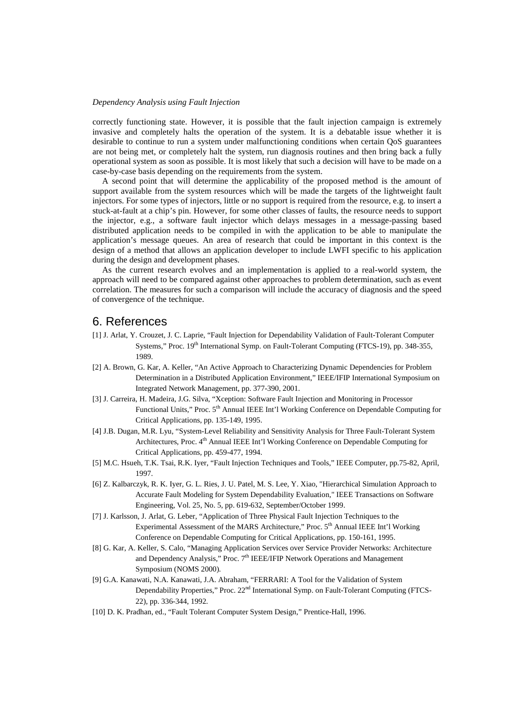correctly functioning state. However, it is possible that the fault injection campaign is extremely invasive and completely halts the operation of the system. It is a debatable issue whether it is desirable to continue to run a system under malfunctioning conditions when certain QoS guarantees are not being met, or completely halt the system, run diagnosis routines and then bring back a fully operational system as soon as possible. It is most likely that such a decision will have to be made on a case-by-case basis depending on the requirements from the system.

A second point that will determine the applicability of the proposed method is the amount of support available from the system resources which will be made the targets of the lightweight fault injectors. For some types of injectors, little or no support is required from the resource, e.g. to insert a stuck-at-fault at a chip's pin. However, for some other classes of faults, the resource needs to support the injector, e.g., a software fault injector which delays messages in a message-passing based distributed application needs to be compiled in with the application to be able to manipulate the application's message queues. An area of research that could be important in this context is the design of a method that allows an application developer to include LWFI specific to his application during the design and development phases.

As the current research evolves and an implementation is applied to a real-world system, the approach will need to be compared against other approaches to problem determination, such as event correlation. The measures for such a comparison will include the accuracy of diagnosis and the speed of convergence of the technique.

# 6. References

- [1] J. Arlat, Y. Crouzet, J. C. Laprie, "Fault Injection for Dependability Validation of Fault-Tolerant Computer Systems," Proc. 19<sup>th</sup> International Symp. on Fault-Tolerant Computing (FTCS-19), pp. 348-355, 1989.
- [2] A. Brown, G. Kar, A. Keller, "An Active Approach to Characterizing Dynamic Dependencies for Problem Determination in a Distributed Application Environment," IEEE/IFIP International Symposium on Integrated Network Management, pp. 377-390, 2001.
- [3] J. Carreira, H. Madeira, J.G. Silva, "Xception: Software Fault Injection and Monitoring in Processor Functional Units," Proc. 5<sup>th</sup> Annual IEEE Int'l Working Conference on Dependable Computing for Critical Applications, pp. 135-149, 1995.
- [4] J.B. Dugan, M.R. Lyu, "System-Level Reliability and Sensitivity Analysis for Three Fault-Tolerant System Architectures, Proc. 4<sup>th</sup> Annual IEEE Int'l Working Conference on Dependable Computing for Critical Applications, pp. 459-477, 1994.
- [5] M.C. Hsueh, T.K. Tsai, R.K. Iyer, "Fault Injection Techniques and Tools," IEEE Computer, pp.75-82, April, 1997.
- [6] Z. Kalbarczyk, R. K. Iyer, G. L. Ries, J. U. Patel, M. S. Lee, Y. Xiao, "Hierarchical Simulation Approach to Accurate Fault Modeling for System Dependability Evaluation," IEEE Transactions on Software Engineering, Vol. 25, No. 5, pp. 619-632, September/October 1999.
- [7] J. Karlsson, J. Arlat, G. Leber, "Application of Three Physical Fault Injection Techniques to the Experimental Assessment of the MARS Architecture," Proc. 5<sup>th</sup> Annual IEEE Int'l Working Conference on Dependable Computing for Critical Applications, pp. 150-161, 1995.
- [8] G. Kar, A. Keller, S. Calo, "Managing Application Services over Service Provider Networks: Architecture and Dependency Analysis," Proc. 7<sup>th</sup> IEEE/IFIP Network Operations and Management Symposium (NOMS 2000).
- [9] G.A. Kanawati, N.A. Kanawati, J.A. Abraham, "FERRARI: A Tool for the Validation of System Dependability Properties," Proc. 22<sup>nd</sup> International Symp. on Fault-Tolerant Computing (FTCS-22), pp. 336-344, 1992.
- [10] D. K. Pradhan, ed., "Fault Tolerant Computer System Design," Prentice-Hall, 1996.